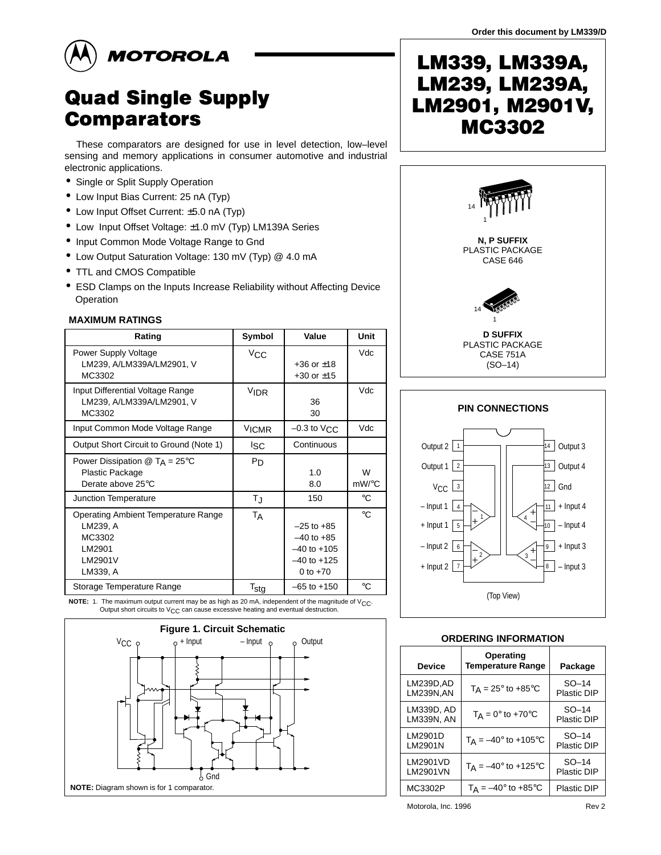

# **Quad Single Supply Comparators**

These comparators are designed for use in level detection, low–level sensing and memory applications in consumer automotive and industrial electronic applications.

- Single or Split Supply Operation
- Low Input Bias Current: 25 nA (Typ)
- Low Input Offset Current: ±5.0 nA (Typ)
- Low Input Offset Voltage: ±1.0 mV (Typ) LM139A Series
- Input Common Mode Voltage Range to Gnd
- Low Output Saturation Voltage: 130 mV (Typ) @ 4.0 mA
- TTL and CMOS Compatible
- ESD Clamps on the Inputs Increase Reliability without Affecting Device **Operation**

#### **MAXIMUM RATINGS**

| Rating                                                                                            | Symbol            | Value                                                                                | Unit        |  |
|---------------------------------------------------------------------------------------------------|-------------------|--------------------------------------------------------------------------------------|-------------|--|
| Power Supply Voltage<br>LM239, A/LM339A/LM2901, V<br>MC3302                                       | $V_{\rm CC}$      | $+36$ or $\pm 18$<br>$+30$ or $\pm 15$                                               | Vdc         |  |
| Input Differential Voltage Range<br>LM239, A/LM339A/LM2901, V<br>MC3302                           | V <sub>IDR</sub>  | 36<br>30                                                                             | Vdc         |  |
| Input Common Mode Voltage Range                                                                   | V <sub>ICMR</sub> | $-0.3$ to $V_{CC}$                                                                   | Vdc         |  |
| Output Short Circuit to Ground (Note 1)                                                           | <sup>I</sup> SC   | Continuous                                                                           |             |  |
| Power Dissipation $\textcircled{a}$ T <sub>A</sub> = 25°C<br>Plastic Package<br>Derate above 25°C | $P_D$             | 1.0<br>8.0                                                                           | W<br>mW/°C  |  |
| Junction Temperature                                                                              | ΤJ                | 150                                                                                  | $^{\circ}C$ |  |
| <b>Operating Ambient Temperature Range</b><br>LM239, A<br>MC3302<br>LM2901<br>LM2901V<br>LM339, A | TA                | $-25$ to $+85$<br>$-40$ to $+85$<br>$-40$ to $+105$<br>$-40$ to $+125$<br>0 to $+70$ | $^{\circ}C$ |  |
| Storage Temperature Range                                                                         | $T_{\text{stg}}$  | $-65$ to $+150$                                                                      | $^{\circ}C$ |  |

**NOTE:** 1. The maximum output current may be as high as 20 mA, independent of the magnitude of  $V_{CC}$ . Output short circuits to  $V_{CC}$  can cause excessive heating and eventual destruction.



# LM339, LM339A, LM239, LM239A, LM2901, M2901V, MC3302





### **ORDERING INFORMATION**

| <b>Device</b>                  | Operating<br><b>Temperature Range</b>     | Package                |
|--------------------------------|-------------------------------------------|------------------------|
| LM239D.AD<br><b>LM239N, AN</b> | $T_A = 25^\circ$ to +85 $\circ$ C         | $SO-14$<br>Plastic DIP |
| LM339D, AD<br>LM339N, AN       | $T_A = 0^\circ$ to +70 $^\circ$ C         | $SO-14$<br>Plastic DIP |
| LM2901D<br>LM2901N             | $T_A = -40^{\circ}$ to +105 °C            | $SO-14$<br>Plastic DIP |
| LM2901VD<br>LM2901VN           | $T_A = -40^\circ$ to +125°C               | $SO-14$<br>Plastic DIP |
| MC3302P                        | $T_A = -40^\circ$ to $+85^\circ \text{C}$ | <b>Plastic DIP</b>     |

© Motorola, Inc. 1996 Rev 2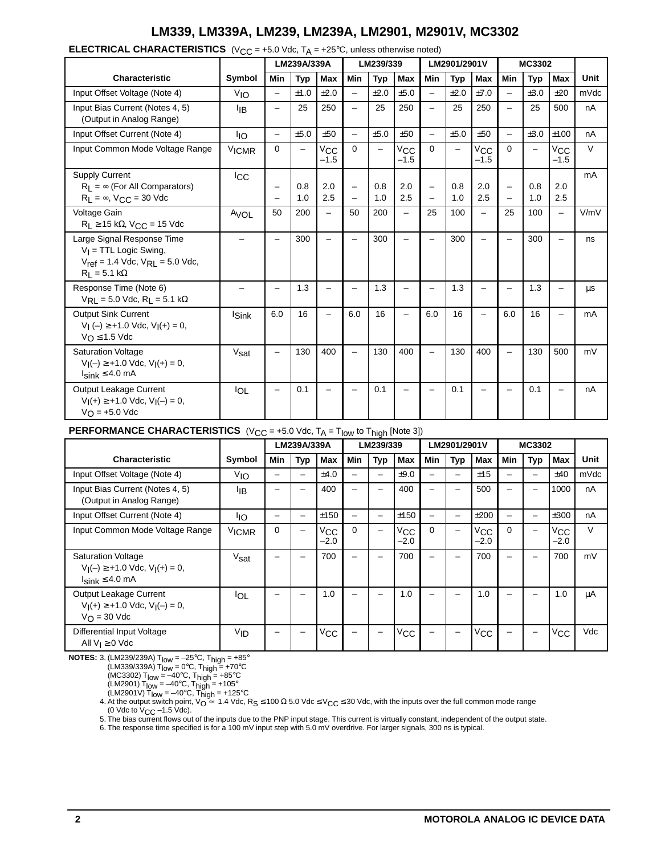**ELECTRICAL CHARACTERISTICS**  $(V_{CC} = +5.0 \text{ Vdc}, T_A = +25^{\circ}\text{C}, \text{unless otherwise noted})$ 

|                                                                                                                           |                          | LM239A/339A              |            | LM239/339                |                                                      |            | LM2901/2901V           |                                               |                          | MC3302                   |                          |            |                          |        |
|---------------------------------------------------------------------------------------------------------------------------|--------------------------|--------------------------|------------|--------------------------|------------------------------------------------------|------------|------------------------|-----------------------------------------------|--------------------------|--------------------------|--------------------------|------------|--------------------------|--------|
| <b>Characteristic</b>                                                                                                     | Symbol                   | <b>Min</b>               | <b>Typ</b> | Max                      | Min                                                  | <b>Typ</b> | <b>Max</b>             | Min                                           | <b>Typ</b>               | <b>Max</b>               | Min                      | <b>Typ</b> | <b>Max</b>               | Unit   |
| Input Offset Voltage (Note 4)                                                                                             | V <sub>IO</sub>          | $\overline{\phantom{0}}$ | ±1.0       | ±2.0                     | $\overline{\phantom{0}}$                             | ±2.0       | ±5.0                   | $\equiv$                                      | ±2.0                     | ±7.0                     | $\overline{a}$           | ±3.0       | ±20                      | mVdc   |
| Input Bias Current (Notes 4, 5)<br>(Output in Analog Range)                                                               | ŀıв                      | -                        | 25         | 250                      | $\overline{\phantom{0}}$                             | 25         | 250                    | $\overline{\phantom{0}}$                      | 25                       | 250                      | $\overline{\phantom{0}}$ | 25         | 500                      | nA     |
| Input Offset Current (Note 4)                                                                                             | <b>IIO</b>               | -                        | ±5.0       | ±50                      | $\equiv$                                             | ±5.0       | ±50                    | $\overline{\phantom{0}}$                      | ±5.0                     | ±50                      | -                        | ±3.0       | ±100                     | nA     |
| Input Common Mode Voltage Range                                                                                           | V <sub>ICMR</sub>        | $\Omega$                 | -          | $V_{\rm CC}$<br>$-1.5$   | $\Omega$                                             | -          | $V_{\rm CC}$<br>$-1.5$ | $\Omega$                                      | $\overline{\phantom{0}}$ | $V_{\rm CC}$<br>$-1.5$   | $\Omega$                 |            | $V_{\rm CC}$<br>$-1.5$   | $\vee$ |
| <b>Supply Current</b><br>$R_1 = \infty$ (For All Comparators)<br>$R_1 = \infty$ , $V_{CC} = 30$ Vdc                       | <b>ICC</b>               |                          | 0.8<br>1.0 | 2.0<br>2.5               | $\overline{\phantom{0}}$<br>$\overline{\phantom{0}}$ | 0.8<br>1.0 | 2.0<br>2.5             | $\qquad \qquad -$<br>$\overline{\phantom{0}}$ | 0.8<br>1.0               | 2.0<br>2.5               | $\overline{\phantom{0}}$ | 0.8<br>1.0 | 2.0<br>2.5               | mA     |
| Voltage Gain<br>$R_L \ge 15$ kΩ, V <sub>CC</sub> = 15 Vdc                                                                 | AVOL                     | 50                       | 200        | $\equiv$                 | 50                                                   | 200        | —                      | 25                                            | 100                      | $\overline{\phantom{0}}$ | 25                       | 100        | $\equiv$                 | V/mV   |
| Large Signal Response Time<br>$V_I$ = TTL Logic Swing,<br>$V_{ref}$ = 1.4 Vdc, $V_{RL}$ = 5.0 Vdc,<br>$R_1 = 5.1 k\Omega$ | $\overline{\phantom{0}}$ | $\equiv$                 | 300        | $\overline{\phantom{0}}$ | $\equiv$                                             | 300        |                        | $\equiv$                                      | 300                      |                          |                          | 300        | $\overline{\phantom{0}}$ | ns     |
| Response Time (Note 6)<br>$V_{RL} = 5.0$ Vdc, $R_L = 5.1$ k $\Omega$                                                      | $\overline{\phantom{0}}$ | —                        | 1.3        | -                        | $\overline{\phantom{0}}$                             | 1.3        | -                      | $\overline{\phantom{0}}$                      | 1.3                      |                          |                          | 1.3        | -                        | μs     |
| Output Sink Current<br>$V_1(-) \ge +1.0$ Vdc, $V_1(+) = 0$ ,<br>$V_O \le 1.5$ Vdc                                         | <b>Sink</b>              | 6.0                      | 16         | $\overline{\phantom{0}}$ | 6.0                                                  | 16         | —                      | 6.0                                           | 16                       | $\overline{\phantom{0}}$ | 6.0                      | 16         | -                        | mA     |
| <b>Saturation Voltage</b><br>$V_I(-) \ge +1.0$ Vdc, $V_I(+) = 0$ ,<br>$I_{\text{sink}} \leq 4.0 \text{ mA}$               | Vsat                     | -                        | 130        | 400                      | $\overline{\phantom{0}}$                             | 130        | 400                    | $\qquad \qquad -$                             | 130                      | 400                      | $\overline{\phantom{0}}$ | 130        | 500                      | mV     |
| Output Leakage Current<br>$V_1(+) \geq +1.0$ Vdc, $V_1(-) = 0$ ,<br>$V_O = +5.0$ Vdc                                      | <b>IOL</b>               | -                        | 0.1        |                          | $\overline{\phantom{0}}$                             | 0.1        |                        | $\overline{\phantom{0}}$                      | 0.1                      |                          |                          | 0.1        | -                        | nA     |

#### **PERFORMANCE CHARACTERISTICS**  $(V_{CC} = +5.0 \text{ Vdc}, T_A = T_{low} \text{ to } T_{high} \text{ [Note 3]} )$

|                                                                                                             |                   | LM239A/339A |                          | LM239/339              |                          |     | LM2901/2901V           |                          |                          | MC3302                 |          |            |                        |        |
|-------------------------------------------------------------------------------------------------------------|-------------------|-------------|--------------------------|------------------------|--------------------------|-----|------------------------|--------------------------|--------------------------|------------------------|----------|------------|------------------------|--------|
| <b>Characteristic</b>                                                                                       | Symbol            | Min         | Typ                      | Max                    | Min                      | Typ | Max                    | Min                      | <b>Typ</b>               | Max                    | Min      | <b>Typ</b> | Max                    | Unit   |
| Input Offset Voltage (Note 4)                                                                               | VIO               | -           | $\overline{\phantom{0}}$ | ±4.0                   | —                        |     | ±9.0                   | $\overline{\phantom{0}}$ | $\overline{\phantom{0}}$ | ±15                    | -        | -          | ±40                    | mVdc   |
| Input Bias Current (Notes 4, 5)<br>(Output in Analog Range)                                                 | ŀıв               |             |                          | 400                    | $\overline{\phantom{0}}$ | -   | 400                    | $\overline{\phantom{0}}$ | -                        | 500                    |          | -          | 1000                   | nA     |
| Input Offset Current (Note 4)                                                                               | ŀю                | -           |                          | ±150                   | —                        |     | ±150                   | -                        | -                        | ±200                   | -        |            | ±300                   | nA     |
| Input Common Mode Voltage Range                                                                             | V <sub>ICMR</sub> | $\Omega$    |                          | $V_{\rm CC}$<br>$-2.0$ | $\Omega$                 |     | $V_{\rm CC}$<br>$-2.0$ | $\Omega$                 | -                        | $V_{\rm CC}$<br>$-2.0$ | $\Omega$ |            | $V_{\rm CC}$<br>$-2.0$ | $\vee$ |
| <b>Saturation Voltage</b><br>$V_1(-) \ge +1.0$ Vdc, $V_1(+) = 0$ ,<br>$I_{\text{sink}} \leq 4.0 \text{ mA}$ | Vsat              |             |                          | 700                    |                          |     | 700                    |                          | ۰                        | 700                    |          |            | 700                    | mV     |
| Output Leakage Current<br>$V_1(+) \geq +1.0$ Vdc, $V_1(-) = 0$ ,<br>$V_{\Omega}$ = 30 Vdc                   | IOL               |             |                          | 1.0                    |                          |     | 1.0                    | $\overline{\phantom{0}}$ |                          | 1.0                    |          |            | 1.0                    | μA     |
| Differential Input Voltage<br>All $V_I \geq 0$ Vdc                                                          | V <sub>ID</sub>   |             |                          | $V_{\rm CC}$           |                          |     | $V_{\rm CC}$           |                          |                          | $V_{\rm CC}$           |          |            | $V_{\rm CC}$           | Vdc    |

**NOTES:** 3. (LM239/239A)  $T_{\text{low}} = -25^{\circ}C$ ,  $T_{\text{high}} = +85^{\circ}$ 

(LM339/339A)  $T_{low} = 0^{\circ}C$ ,  $T_{high} = +70^{\circ}C$ 

(MC3302) T<sub>low</sub> =  $-40^{\circ}$ C, T<sub>high</sub> =  $+85^{\circ}$ C

(LM2901)  $T_{\text{low}} = -40^{\circ}$ C,  $T_{\text{high}} = +105^{\circ}$ 

(LM2901V) T<sub>low</sub> = –40℃, T<sub>high</sub> = +125℃<br>4. At the output switch point, V<sub>O</sub> ≃ 1.4 Vdc, R<sub>S</sub> ≤ 100 Ω 5.0 Vdc ≤ V<sub>CC</sub> ≤ 30 Vdc, with the inputs over the full common mode range

(0 Vdc to V<sub>CC</sub> –1.5 Vdc).<br>5. The bias current flows out of the inputs due to the PNP input stage. This current is virtually constant, independent of the output state.

6. The response time specified is for a 100 mV input step with 5.0 mV overdrive. For larger signals, 300 ns is typical.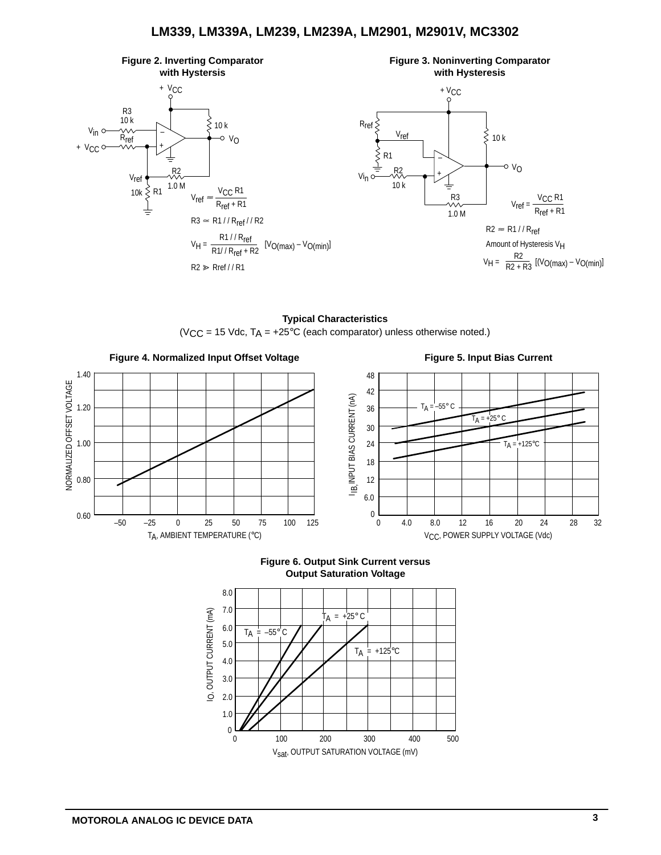



**Typical Characteristics** (V<sub>CC</sub> = 15 Vdc,  $T_A$  = +25°C (each comparator) unless otherwise noted.)





**Figure 6. Output Sink Current versus**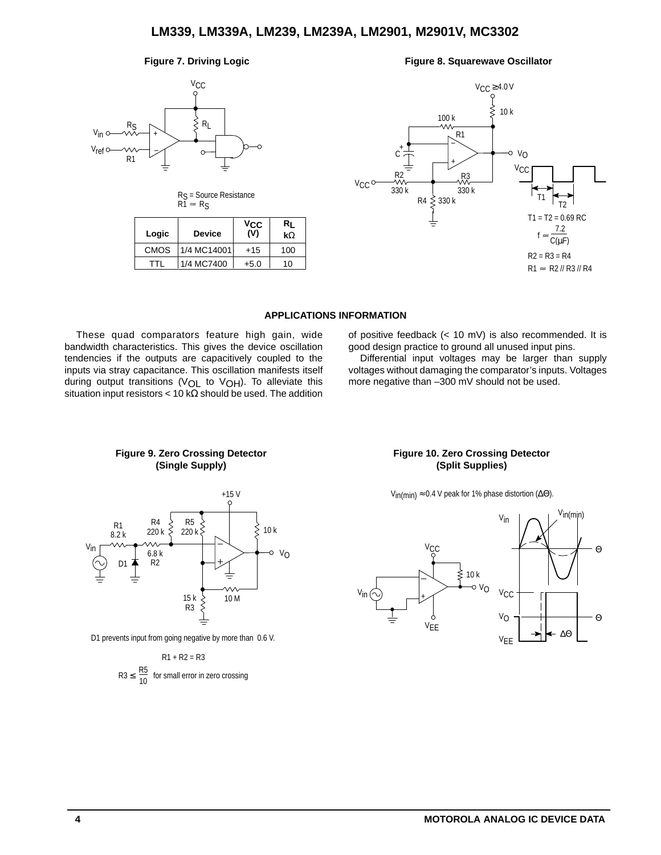



| Logic | <b>Device</b> | Vcc<br>(V) | Rı<br>$k\Omega$ |
|-------|---------------|------------|-----------------|
| CMOS  | 1/4 MC14001   | $+15$      | 100             |
| TTI   | 1/4 MC7400    | $+5.0$     | 10              |





### **APPLICATIONS INFORMATION**

These quad comparators feature high gain, wide bandwidth characteristics. This gives the device oscillation tendencies if the outputs are capacitively coupled to the inputs via stray capacitance. This oscillation manifests itself during output transitions ( $VOL$  to  $VOH$ ). To alleviate this situation input resistors < 10 k $\Omega$  should be used. The addition of positive feedback (< 10 mV) is also recommended. It is good design practice to ground all unused input pins.

Differential input voltages may be larger than supply voltages without damaging the comparator's inputs. Voltages more negative than –300 mV should not be used.





D1 prevents input from going negative by more than 0.6 V.

 $R3 ≤ \frac{100}{10}$  $R1 + R2 = R3$ for small error in zero crossing

#### **Figure 10. Zero Crossing Detector (Split Supplies)**

V<sub>in(min)</sub>  $\approx$  0.4 V peak for 1% phase distortion ( $\Delta\Theta$ ).

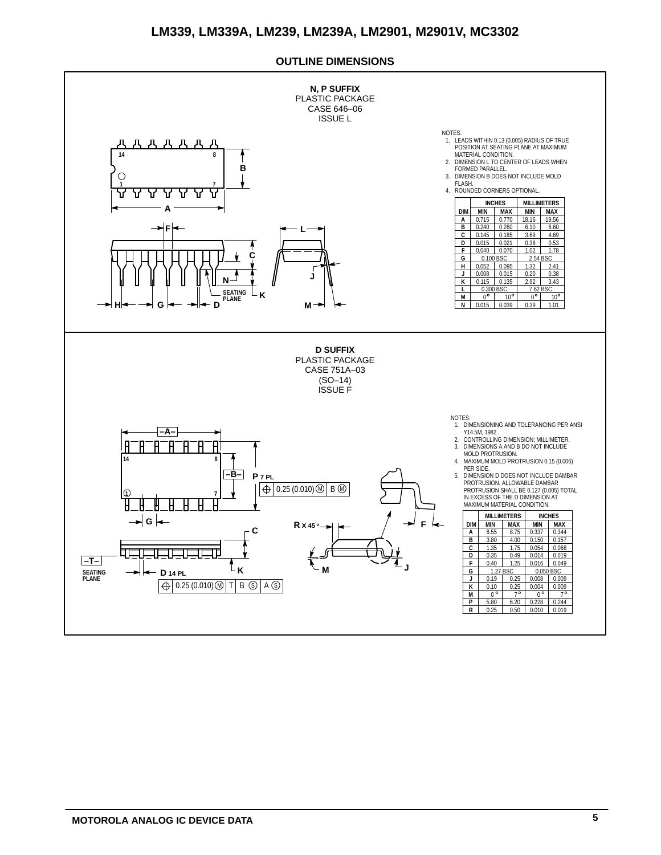## **OUTLINE DIMENSIONS**